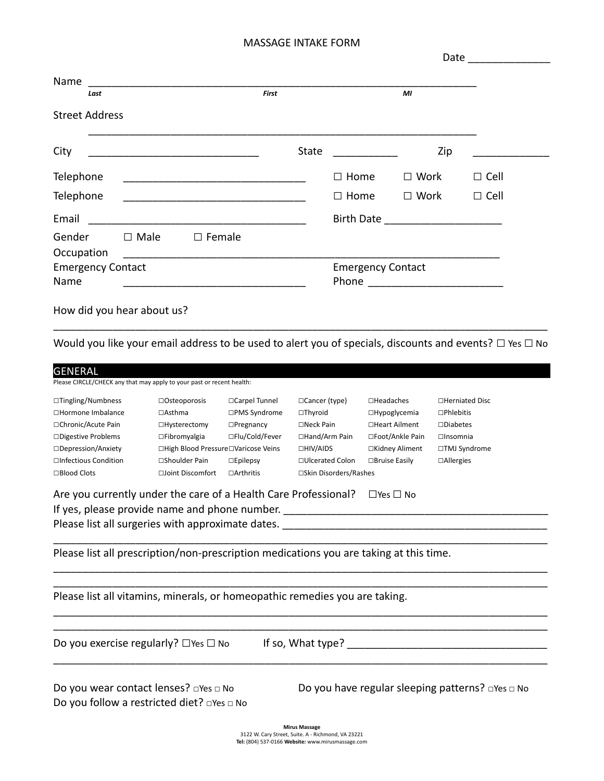## MASSAGE INTAKE FORM

|                                                                                                                   |              | Date _____________       |                |             |
|-------------------------------------------------------------------------------------------------------------------|--------------|--------------------------|----------------|-------------|
| Name<br>Last                                                                                                      | <b>First</b> |                          | MI             |             |
| <b>Street Address</b>                                                                                             |              |                          |                |             |
| City                                                                                                              | State        |                          | Zip            |             |
| Telephone                                                                                                         |              | $\Box$ Home              | $\Box$ Work    | $\Box$ Cell |
| Telephone<br><u> 2002 - Jan James James Barnett, amerikansk politik (d. 1888)</u>                                 |              | $\Box$ Home              | $\square$ Work | $\Box$ Cell |
|                                                                                                                   |              |                          |                |             |
| Gender<br>□ Male □ Female<br>Occupation                                                                           |              |                          |                |             |
| <b>Emergency Contact</b><br>Name                                                                                  |              | <b>Emergency Contact</b> |                |             |
| How did you hear about us?                                                                                        |              |                          |                |             |
| Would you like your email address to be used to alert you of specials, discounts and events? $\Box$ Yes $\Box$ No |              |                          |                |             |
| C F N F R A I                                                                                                     |              |                          |                |             |

| <b>GENERAL</b>                                                                                                                                                                                                                 |                                     |                    |                        |                      |                                                             |
|--------------------------------------------------------------------------------------------------------------------------------------------------------------------------------------------------------------------------------|-------------------------------------|--------------------|------------------------|----------------------|-------------------------------------------------------------|
| Please CIRCLE/CHECK any that may apply to your past or recent health:                                                                                                                                                          |                                     |                    |                        |                      |                                                             |
| $\Box$ Tingling/Numbness                                                                                                                                                                                                       | $\square$ Osteoporosis              | □Carpel Tunnel     | □Cancer (type)         | $\square$ Headaches  | $\Box$ Herniated Disc                                       |
| □Hormone Imbalance                                                                                                                                                                                                             | $\Box$ Asthma                       | □PMS Syndrome      | $\Box$ Thyroid         | $\Box$ Hypoglycemia  | $\Box$ Phlebitis                                            |
| □Chronic/Acute Pain                                                                                                                                                                                                            | □Hysterectomy                       | $\Box$ Pregnancy   | $\Box$ Neck Pain       | □Heart Ailment       | $\Box$ Diabetes                                             |
| $\square$ Digestive Problems                                                                                                                                                                                                   | $\Box$ Fibromyalgia                 | □Flu/Cold/Fever    | □Hand/Arm Pain         | □Foot/Ankle Pain     | $\Box$ Insomnia                                             |
| □Depression/Anxiety                                                                                                                                                                                                            | □High Blood Pressure□Varicose Veins |                    | $\Box$ HIV/AIDS        | □Kidney Aliment      | □TMJ Syndrome                                               |
| □Infectious Condition                                                                                                                                                                                                          | □Shoulder Pain                      | $\square$ Epilepsy | □Ulcerated Colon       | $\Box$ Bruise Easily | $\Box$ Allergies                                            |
| □Blood Clots                                                                                                                                                                                                                   | □Joint Discomfort                   | $\Box$ Arthritis   | □Skin Disorders/Rashes |                      |                                                             |
| Are you currently under the care of a Health Care Professional?                                                                                                                                                                |                                     |                    |                        | $\Box$ Yes $\Box$ No |                                                             |
| If yes, please provide name and phone number.                                                                                                                                                                                  |                                     |                    |                        |                      |                                                             |
| Please list all surgeries with approximate dates. [19] [2012] [2013] [2013] [2014] [2014] [2014] [2014] [2014] [2014] [2014] [2014] [2014] [2014] [2014] [2014] [2014] [2014] [2014] [2014] [2014] [2014] [2014] [2014] [2014] |                                     |                    |                        |                      |                                                             |
|                                                                                                                                                                                                                                |                                     |                    |                        |                      |                                                             |
| Please list all prescription/non-prescription medications you are taking at this time.                                                                                                                                         |                                     |                    |                        |                      |                                                             |
| Please list all vitamins, minerals, or homeopathic remedies you are taking.                                                                                                                                                    |                                     |                    |                        |                      |                                                             |
| Do you exercise regularly? $\Box$ Yes $\Box$ No                                                                                                                                                                                |                                     |                    |                        |                      | If so, What type?                                           |
| Do you wear contact lenses? □Yes □ No<br>Do you follow a restricted diet? $\square$ Yes $\square$ No                                                                                                                           |                                     |                    |                        |                      | Do you have regular sleeping patterns? $\Box$ Yes $\Box$ No |